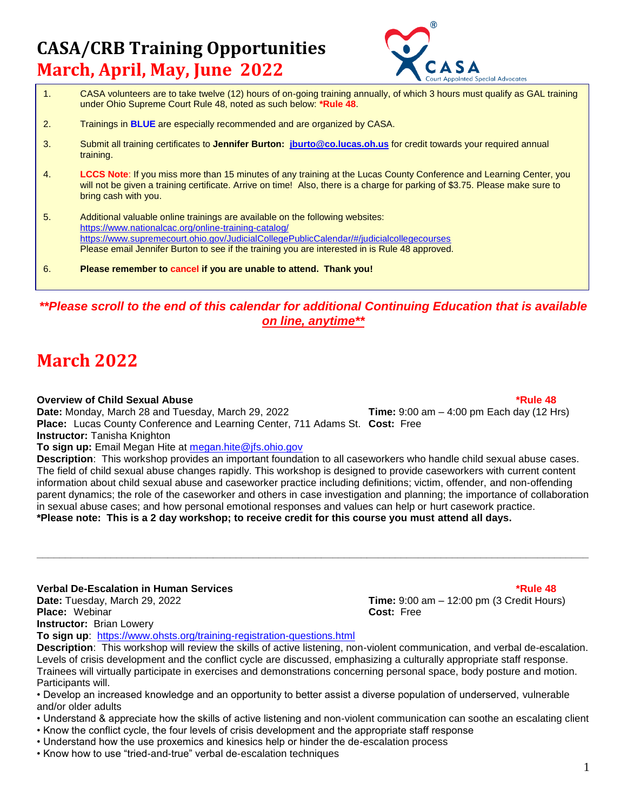## **CASA/CRB Training Opportunities March, April, May, June 2022**



- 1. CASA volunteers are to take twelve (12) hours of on-going training annually, of which 3 hours must qualify as GAL training under Ohio Supreme Court Rule 48, noted as such below: **\*Rule 48**.
- 2. Trainings in **BLUE** are especially recommended and are organized by CASA.
- 3. Submit all training certificates to **Jennifer Burton: [jburto@co.lucas.oh.us](mailto:jburto@co.lucas.oh.us)** for credit towards your required annual training.
- 4. **LCCS Note**: If you miss more than 15 minutes of any training at the Lucas County Conference and Learning Center, you will not be given a training certificate. Arrive on time! Also, there is a charge for parking of \$3.75. Please make sure to bring cash with you.
- 5. Additional valuable online trainings are available on the following websites: <https://www.nationalcac.org/online-training-catalog/> <https://www.supremecourt.ohio.gov/JudicialCollegePublicCalendar/#/judicialcollegecourses> Please email Jennifer Burton to see if the training you are interested in is Rule 48 approved.
- 6. **Please remember to cancel if you are unable to attend. Thank you!**

### *\*\*Please scroll to the end of this calendar for additional Continuing Education that is available on line, anytime\*\**

## **March 2022**

### **Overview of Child Sexual Abuse \*Rule 48**

**Date:** Monday, March 28 and Tuesday, March 29, 2022 **Time:** 9:00 am – 4:00 pm Each day (12 Hrs)

**Place:** Lucas County Conference and Learning Center, 711 Adams St. **Cost:** Free **Instructor:** Tanisha Knighton

**To sign up:** Email Megan Hite at [megan.hite@jfs.ohio.gov](mailto:megan.hite@jfs.ohio.gov) 

**Description**: This workshop provides an important foundation to all caseworkers who handle child sexual abuse cases. The field of child sexual abuse changes rapidly. This workshop is designed to provide caseworkers with current content information about child sexual abuse and caseworker practice including definitions; victim, offender, and non-offending parent dynamics; the role of the caseworker and others in case investigation and planning; the importance of collaboration in sexual abuse cases; and how personal emotional responses and values can help or hurt casework practice. **\*Please note: This is a 2 day workshop; to receive credit for this course you must attend all days.** 

**\_\_\_\_\_\_\_\_\_\_\_\_\_\_\_\_\_\_\_\_\_\_\_\_\_\_\_\_\_\_\_\_\_\_\_\_\_\_\_\_\_\_\_\_\_\_\_\_\_\_\_\_\_\_\_\_\_\_\_\_\_\_\_\_\_\_\_\_\_\_\_\_\_\_\_\_\_\_\_\_\_\_\_\_\_\_\_\_\_\_\_\_\_\_\_\_\_**

### **Verbal De-Escalation in Human Services \*Rule 48**

**Place:** Webinar **Cost:** Free **Instructor:** Brian Lowery

**Date:** Tuesday, March 29, 2022 **Time:** 9:00 am – 12:00 pm (3 Credit Hours)

**To sign up**: https://www.ohsts.org/training-registration-questions.html

**Description**: This workshop will review the skills of active listening, non-violent communication, and verbal de-escalation. Levels of crisis development and the conflict cycle are discussed, emphasizing a culturally appropriate staff response. Trainees will virtually participate in exercises and demonstrations concerning personal space, body posture and motion. Participants will.

• Develop an increased knowledge and an opportunity to better assist a diverse population of underserved, vulnerable and/or older adults

- Understand & appreciate how the skills of active listening and non-violent communication can soothe an escalating client
- Know the conflict cycle, the four levels of crisis development and the appropriate staff response
- Understand how the use proxemics and kinesics help or hinder the de-escalation process
- Know how to use "tried-and-true" verbal de-escalation techniques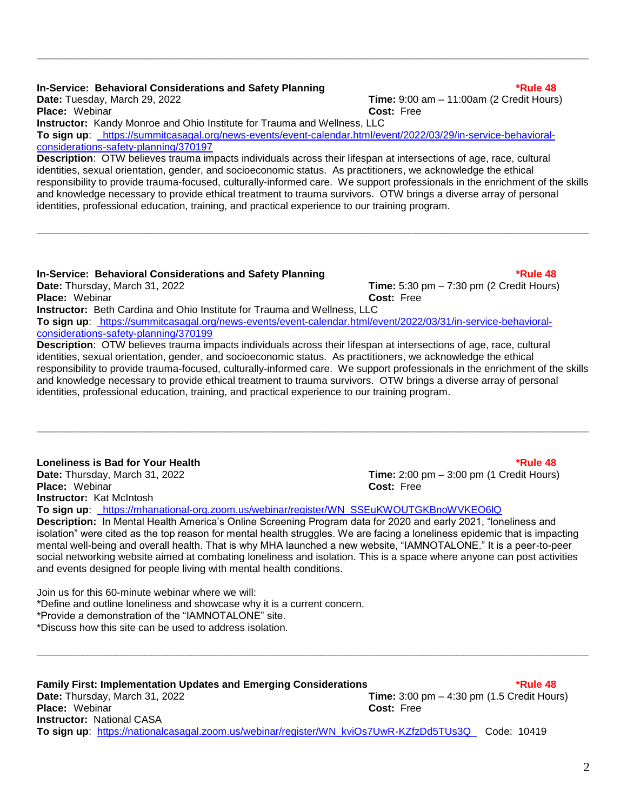### **In-Service: Behavioral Considerations and Safety Planning the Constanting to the Service of the 48**

**Date:** Tuesday, March 29, 2022 **Time:** 9:00 am – 11:00am (2 Credit Hours) **Place:** Webinar **Cost:** Free **Instructor:** Kandy Monroe and Ohio Institute for Trauma and Wellness, LLC **To sign up**: https://summitcasagal.org/news-events/event-calendar.html/event/2022/03/29/in-service-behavioralconsiderations-safety-planning/370197

**\_\_\_\_\_\_\_\_\_\_\_\_\_\_\_\_\_\_\_\_\_\_\_\_\_\_\_\_\_\_\_\_\_\_\_\_\_\_\_\_\_\_\_\_\_\_\_\_\_\_\_\_\_\_\_\_\_\_\_\_\_\_\_\_\_\_\_\_\_\_\_\_\_\_\_\_\_\_\_\_\_\_\_\_\_\_\_\_\_\_\_\_\_\_\_\_\_**

**Description**: OTW believes trauma impacts individuals across their lifespan at intersections of age, race, cultural identities, sexual orientation, gender, and socioeconomic status. As practitioners, we acknowledge the ethical responsibility to provide trauma-focused, culturally-informed care. We support professionals in the enrichment of the skills and knowledge necessary to provide ethical treatment to trauma survivors. OTW brings a diverse array of personal identities, professional education, training, and practical experience to our training program.

**\_\_\_\_\_\_\_\_\_\_\_\_\_\_\_\_\_\_\_\_\_\_\_\_\_\_\_\_\_\_\_\_\_\_\_\_\_\_\_\_\_\_\_\_\_\_\_\_\_\_\_\_\_\_\_\_\_\_\_\_\_\_\_\_\_\_\_\_\_\_\_\_\_\_\_\_\_\_\_\_\_\_\_\_\_\_\_\_\_\_\_\_\_\_\_\_\_**

### **In-Service: Behavioral Considerations and Safety Planning the Constantine Constant Constant Constant AB**

**Date:** Thursday, March 31, 2022 **Time:** 5:30 pm – 7:30 pm (2 Credit Hours) **Place:** Webinar **Cost:** Free **Instructor:** Beth Cardina and Ohio Institute for Trauma and Wellness, LLC **To sign up**: https://summitcasagal.org/news-events/event-calendar.html/event/2022/03/31/in-service-behavioralconsiderations-safety-planning/370199

**Description**: OTW believes trauma impacts individuals across their lifespan at intersections of age, race, cultural identities, sexual orientation, gender, and socioeconomic status. As practitioners, we acknowledge the ethical responsibility to provide trauma-focused, culturally-informed care. We support professionals in the enrichment of the skills and knowledge necessary to provide ethical treatment to trauma survivors. OTW brings a diverse array of personal identities, professional education, training, and practical experience to our training program.

**\_\_\_\_\_\_\_\_\_\_\_\_\_\_\_\_\_\_\_\_\_\_\_\_\_\_\_\_\_\_\_\_\_\_\_\_\_\_\_\_\_\_\_\_\_\_\_\_\_\_\_\_\_\_\_\_\_\_\_\_\_\_\_\_\_\_\_\_\_\_\_\_\_\_\_\_\_\_\_\_\_\_\_\_\_\_\_\_\_\_\_\_\_\_\_\_\_**

## **Loneliness is Bad for Your Health \*Rule 48**

**Place:** Webinar **Cost:** Free **Instructor:** Kat McIntosh

**To sign up**: https://mhanational-org.zoom.us/webinar/register/WN\_SSEuKWOUTGKBnoWVKEO6lQ

**Description:** In Mental Health America's Online Screening Program data for 2020 and early 2021, "loneliness and isolation" were cited as the top reason for mental health struggles. We are facing a loneliness epidemic that is impacting mental well-being and overall health. That is why MHA launched a new website, "IAMNOTALONE." It is a peer-to-peer social networking website aimed at combating loneliness and isolation. This is a space where anyone can post activities and events designed for people living with mental health conditions.

Join us for this 60-minute webinar where we will: \*Define and outline loneliness and showcase why it is a current concern. \*Provide a demonstration of the "IAMNOTALONE" site. \*Discuss how this site can be used to address isolation.

**Family First: Implementation Updates and Emerging Considerations \*Rule 48 Date:** Thursday, March 31, 2022 **Time:** 3:00 pm – 4:30 pm (1.5 Credit Hours) **Place:** Webinar **Cost:** Free **Instructor:** National CASA **To sign up**: [https://nationalcasagal.zoom.us/webinar/register/WN\\_kviOs7UwR-KZfzDd5TUs3Q](https://nationalcasagal.zoom.us/webinar/register/WN_kviOs7UwR-KZfzDd5TUs3Q) Code: 10419

**\_\_\_\_\_\_\_\_\_\_\_\_\_\_\_\_\_\_\_\_\_\_\_\_\_\_\_\_\_\_\_\_\_\_\_\_\_\_\_\_\_\_\_\_\_\_\_\_\_\_\_\_\_\_\_\_\_\_\_\_\_\_\_\_\_\_\_\_\_\_\_\_\_\_\_\_\_\_\_\_\_\_\_\_\_\_\_\_\_\_\_\_\_\_\_\_\_**

2

**Date:** Thursday, March 31, 2022 **Time:** 2:00 pm – 3:00 pm (1 Credit Hours)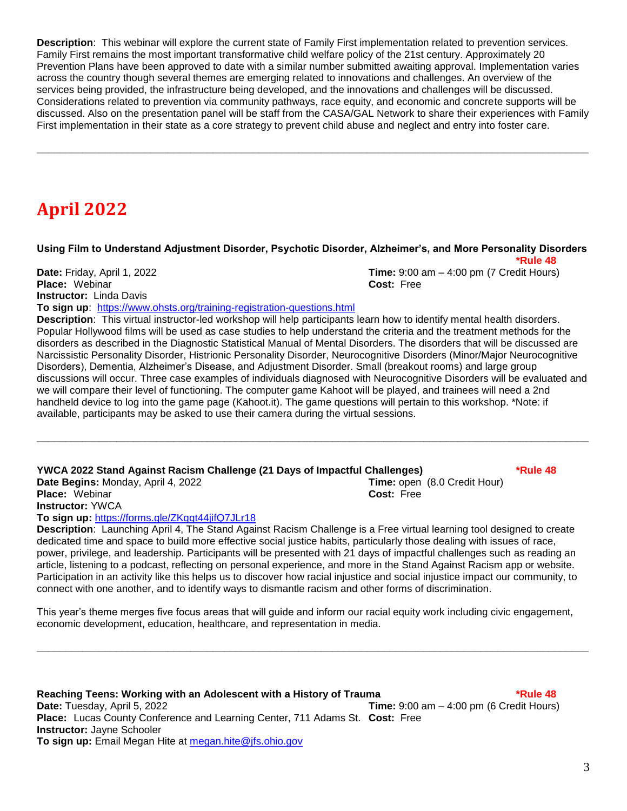**Description**: This webinar will explore the current state of Family First implementation related to prevention services. Family First remains the most important transformative child welfare policy of the 21st century. Approximately 20 Prevention Plans have been approved to date with a similar number submitted awaiting approval. Implementation varies across the country though several themes are emerging related to innovations and challenges. An overview of the services being provided, the infrastructure being developed, and the innovations and challenges will be discussed. Considerations related to prevention via community pathways, race equity, and economic and concrete supports will be discussed. Also on the presentation panel will be staff from the CASA/GAL Network to share their experiences with Family First implementation in their state as a core strategy to prevent child abuse and neglect and entry into foster care.

**\_\_\_\_\_\_\_\_\_\_\_\_\_\_\_\_\_\_\_\_\_\_\_\_\_\_\_\_\_\_\_\_\_\_\_\_\_\_\_\_\_\_\_\_\_\_\_\_\_\_\_\_\_\_\_\_\_\_\_\_\_\_\_\_\_\_\_\_\_\_\_\_\_\_\_\_\_\_\_\_\_\_\_\_\_\_\_\_\_\_\_\_\_\_\_\_\_**

## **April 2022**

### **Using Film to Understand Adjustment Disorder, Psychotic Disorder, Alzheimer's, and More Personality Disorders \*Rule 48**

**Place:** Webinar **Cost:** Free **Instructor:** Linda Davis

**Date:** Friday, April 1, 2022 **Time:** 9:00 am – 4:00 pm (7 Credit Hours)

**To sign up**: https://www.ohsts.org/training-registration-questions.html **Description**: This virtual instructor-led workshop will help participants learn how to identify mental health disorders. Popular Hollywood films will be used as case studies to help understand the criteria and the treatment methods for the

disorders as described in the Diagnostic Statistical Manual of Mental Disorders. The disorders that will be discussed are Narcissistic Personality Disorder, Histrionic Personality Disorder, Neurocognitive Disorders (Minor/Major Neurocognitive Disorders), Dementia, Alzheimer's Disease, and Adjustment Disorder. Small (breakout rooms) and large group discussions will occur. Three case examples of individuals diagnosed with Neurocognitive Disorders will be evaluated and we will compare their level of functioning. The computer game Kahoot will be played, and trainees will need a 2nd handheld device to log into the game page (Kahoot.it). The game questions will pertain to this workshop. \*Note: if available, participants may be asked to use their camera during the virtual sessions.

**\_\_\_\_\_\_\_\_\_\_\_\_\_\_\_\_\_\_\_\_\_\_\_\_\_\_\_\_\_\_\_\_\_\_\_\_\_\_\_\_\_\_\_\_\_\_\_\_\_\_\_\_\_\_\_\_\_\_\_\_\_\_\_\_\_\_\_\_\_\_\_\_\_\_\_\_\_\_\_\_\_\_\_\_\_\_\_\_\_\_\_\_\_\_\_\_\_**

**YWCA 2022 Stand Against Racism Challenge (21 Days of Impactful Challenges) \*Rule 48 Date Begins:** Monday, April 4, 2022 **Time:** open (8.0 Credit Hour) **Place:** Webinar **Cost:** Free

**Instructor:** YWCA

**To sign up:** <https://forms.gle/ZKqqt44jifQ7JLr18>

**Description**: Launching April 4, The Stand Against Racism Challenge is a Free virtual learning tool designed to create dedicated time and space to build more effective social justice habits, particularly those dealing with issues of race, power, privilege, and leadership. Participants will be presented with 21 days of impactful challenges such as reading an article, listening to a podcast, reflecting on personal experience, and more in the Stand Against Racism app or website. Participation in an activity like this helps us to discover how racial injustice and social injustice impact our community, to connect with one another, and to identify ways to dismantle racism and other forms of discrimination.

This year's theme merges five focus areas that will guide and inform our racial equity work including civic engagement, economic development, education, healthcare, and representation in media.

**\_\_\_\_\_\_\_\_\_\_\_\_\_\_\_\_\_\_\_\_\_\_\_\_\_\_\_\_\_\_\_\_\_\_\_\_\_\_\_\_\_\_\_\_\_\_\_\_\_\_\_\_\_\_\_\_\_\_\_\_\_\_\_\_\_\_\_\_\_\_\_\_\_\_\_\_\_\_\_\_\_\_\_\_\_\_\_\_\_\_\_\_\_\_\_\_\_**

**Reaching Teens: Working with an Adolescent with a History of Trauma \*Rule 48 Date:** Tuesday, April 5, 2022 **Time:** 9:00 am – 4:00 pm (6 Credit Hours) **Place:** Lucas County Conference and Learning Center, 711 Adams St. **Cost:** Free **Instructor:** Jayne Schooler **To sign up:** Email Megan Hite at [megan.hite@jfs.ohio.gov](mailto:megan.hite@jfs.ohio.gov)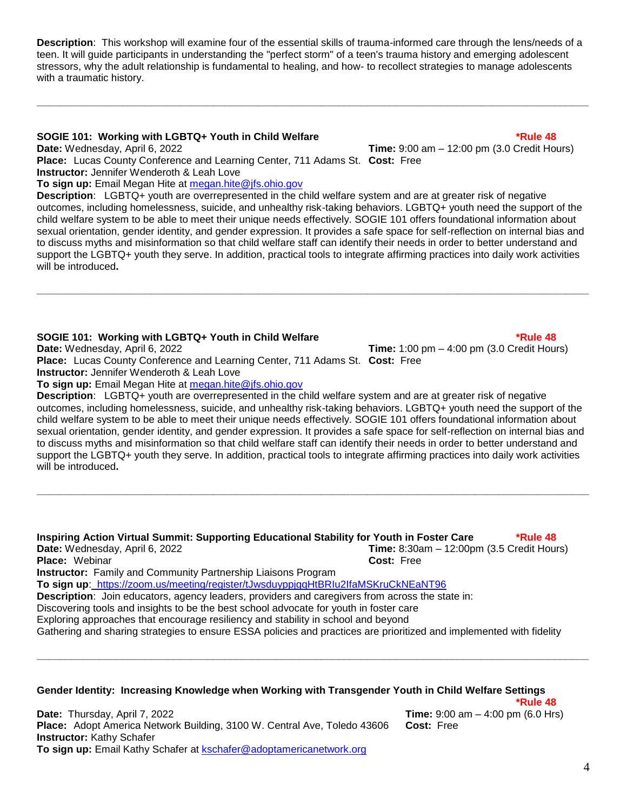**Description**: This workshop will examine four of the essential skills of trauma-informed care through the lens/needs of a teen. It will guide participants in understanding the "perfect storm" of a teen's trauma history and emerging adolescent stressors, why the adult relationship is fundamental to healing, and how- to recollect strategies to manage adolescents with a traumatic history.

**\_\_\_\_\_\_\_\_\_\_\_\_\_\_\_\_\_\_\_\_\_\_\_\_\_\_\_\_\_\_\_\_\_\_\_\_\_\_\_\_\_\_\_\_\_\_\_\_\_\_\_\_\_\_\_\_\_\_\_\_\_\_\_\_\_\_\_\_\_\_\_\_\_\_\_\_\_\_\_\_\_\_\_\_\_\_\_\_\_\_\_\_\_\_\_\_\_**

### **SOGIE 101: Working with LGBTQ+ Youth in Child Welfare \* The set of the set of the set of the set of the set of the 48**

**Date:** Wednesday, April 6, 2022 **Time:** 9:00 am – 12:00 pm (3.0 Credit Hours) **Place:** Lucas County Conference and Learning Center, 711 Adams St. **Cost:** Free **Instructor:** Jennifer Wenderoth & Leah Love

**To sign up:** Email Megan Hite at [megan.hite@jfs.ohio.gov](mailto:megan.hite@jfs.ohio.gov) 

**Description**: LGBTQ+ youth are overrepresented in the child welfare system and are at greater risk of negative outcomes, including homelessness, suicide, and unhealthy risk-taking behaviors. LGBTQ+ youth need the support of the child welfare system to be able to meet their unique needs effectively. SOGIE 101 offers foundational information about sexual orientation, gender identity, and gender expression. It provides a safe space for self-reflection on internal bias and to discuss myths and misinformation so that child welfare staff can identify their needs in order to better understand and support the LGBTQ+ youth they serve. In addition, practical tools to integrate affirming practices into daily work activities will be introduced**.**

**\_\_\_\_\_\_\_\_\_\_\_\_\_\_\_\_\_\_\_\_\_\_\_\_\_\_\_\_\_\_\_\_\_\_\_\_\_\_\_\_\_\_\_\_\_\_\_\_\_\_\_\_\_\_\_\_\_\_\_\_\_\_\_\_\_\_\_\_\_\_\_\_\_\_\_\_\_\_\_\_\_\_\_\_\_\_\_\_\_\_\_\_\_\_\_\_\_**

### **SOGIE 101: Working with LGBTQ+ Youth in Child Welfare the state of the state of the state 48**

**Date:** Wednesday, April 6, 2022 **Time:** 1:00 pm – 4:00 pm (3.0 Credit Hours)

**Place:** Lucas County Conference and Learning Center, 711 Adams St. **Cost:** Free **Instructor:** Jennifer Wenderoth & Leah Love

**To sign up:** Email Megan Hite at [megan.hite@jfs.ohio.gov](mailto:megan.hite@jfs.ohio.gov) 

**Description**: LGBTQ+ youth are overrepresented in the child welfare system and are at greater risk of negative outcomes, including homelessness, suicide, and unhealthy risk-taking behaviors. LGBTQ+ youth need the support of the child welfare system to be able to meet their unique needs effectively. SOGIE 101 offers foundational information about sexual orientation, gender identity, and gender expression. It provides a safe space for self-reflection on internal bias and to discuss myths and misinformation so that child welfare staff can identify their needs in order to better understand and support the LGBTQ+ youth they serve. In addition, practical tools to integrate affirming practices into daily work activities will be introduced**.**

**\_\_\_\_\_\_\_\_\_\_\_\_\_\_\_\_\_\_\_\_\_\_\_\_\_\_\_\_\_\_\_\_\_\_\_\_\_\_\_\_\_\_\_\_\_\_\_\_\_\_\_\_\_\_\_\_\_\_\_\_\_\_\_\_\_\_\_\_\_\_\_\_\_\_\_\_\_\_\_\_\_\_\_\_\_\_\_\_\_\_\_\_\_\_\_\_\_**

| Inspiring Action Virtual Summit: Supporting Educational Stability for Youth in Foster Care                           |                                             | *Rule 48 |
|----------------------------------------------------------------------------------------------------------------------|---------------------------------------------|----------|
| Date: Wednesday, April 6, 2022                                                                                       | Time: $8:30am - 12:00pm$ (3.5 Credit Hours) |          |
| <b>Place:</b> Webinar                                                                                                | Cost: Free                                  |          |
| <b>Instructor:</b> Family and Community Partnership Liaisons Program                                                 |                                             |          |
| To sign up: https://zoom.us/meeting/register/tJwsduyppjgqHtBRIu2IfaMSKruCkNEaNT96                                    |                                             |          |
| Description: Join educators, agency leaders, providers and caregivers from across the state in:                      |                                             |          |
| Discovering tools and insights to be the best school advocate for youth in foster care                               |                                             |          |
| Exploring approaches that encourage resiliency and stability in school and beyond                                    |                                             |          |
| Gathering and sharing strategies to ensure ESSA policies and practices are prioritized and implemented with fidelity |                                             |          |
|                                                                                                                      |                                             |          |
|                                                                                                                      |                                             |          |

### **Gender Identity: Increasing Knowledge when Working with Transgender Youth in Child Welfare Settings**

**Date:** Thursday, April 7, 2022**Time:** 9:00 am – 4:00 pm (6.0 Hrs) **Place:** Adopt America Network Building, 3100 W. Central Ave, Toledo 43606 **Cost:** Free **Instructor:** Kathy Schafer **To sign up:** Email Kathy Schafer at [kschafer@adoptamericanetwork.org](mailto:kschafer@adoptamericanetwork.org)

**\*Rule 48**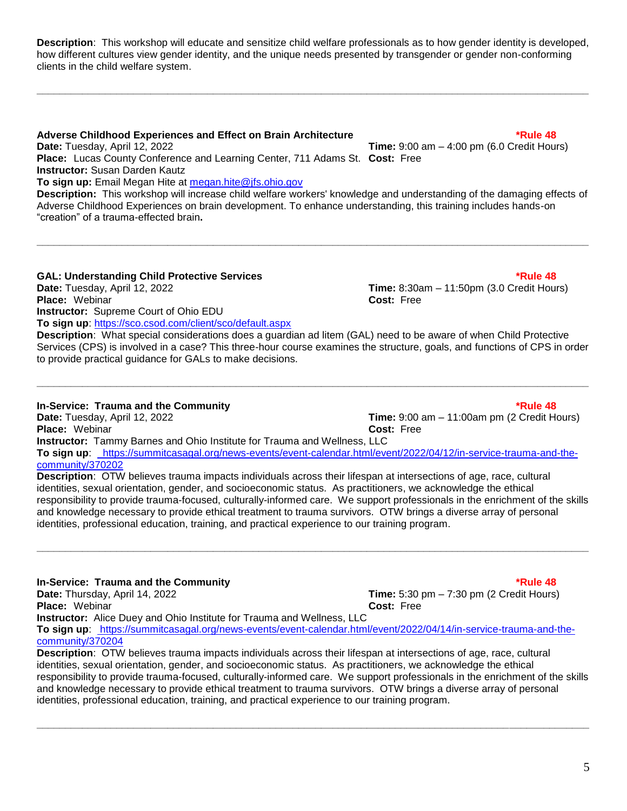5

**Description**: This workshop will educate and sensitize child welfare professionals as to how gender identity is developed, how different cultures view gender identity, and the unique needs presented by transgender or gender non-conforming clients in the child welfare system.

**\_\_\_\_\_\_\_\_\_\_\_\_\_\_\_\_\_\_\_\_\_\_\_\_\_\_\_\_\_\_\_\_\_\_\_\_\_\_\_\_\_\_\_\_\_\_\_\_\_\_\_\_\_\_\_\_\_\_\_\_\_\_\_\_\_\_\_\_\_\_\_\_\_\_\_\_\_\_\_\_\_\_\_\_\_\_\_\_\_\_\_\_\_\_\_\_\_**

### **Adverse Childhood Experiences and Effect on Brain Architecture \*Rule 48**

**Date:** Tuesday, April 12, 2022 **Time:** 9:00 am – 4:00 pm (6.0 Credit Hours) **Place:** Lucas County Conference and Learning Center, 711 Adams St. **Cost:** Free **Instructor:** Susan Darden Kautz **To sign up:** Email Megan Hite at [megan.hite@jfs.ohio.gov](mailto:megan.hite@jfs.ohio.gov) 

**Description:** This workshop will increase child welfare workers' knowledge and understanding of the damaging effects of Adverse Childhood Experiences on brain development. To enhance understanding, this training includes hands-on "creation" of a trauma-effected brain**.**

**\_\_\_\_\_\_\_\_\_\_\_\_\_\_\_\_\_\_\_\_\_\_\_\_\_\_\_\_\_\_\_\_\_\_\_\_\_\_\_\_\_\_\_\_\_\_\_\_\_\_\_\_\_\_\_\_\_\_\_\_\_\_\_\_\_\_\_\_\_\_\_\_\_\_\_\_\_\_\_\_\_\_\_\_\_\_\_\_\_\_\_\_\_\_\_\_\_**

### GAL: Understanding Child Protective Services **\*Rule 48** and the state of the state of the state 48

**Date:** Tuesday, April 12, 2022 **Time:** 8:30am – 11:50pm (3.0 Credit Hours) **Place:** Webinar **Cost:** Free **Instructor:** Supreme Court of Ohio EDU **To sign up**: https://sco.csod.com/client/sco/default.aspx

to provide practical guidance for GALs to make decisions.

**In-Service: Trauma and the Community \*Rule 48**

**Date:** Tuesday, April 12, 2022 **Time:** 9:00 am – 11:00am pm (2 Credit Hours) **Place:** Webinar **Cost: Cost: Cost: Cost: Cost: Cost: Cost: Cost: Cost: Cost: Cost: Cost: Cost: Cost: Cost: COST: COST: COST: COST: COST: COST: COST: COST: COST: COST: COST Instructor:** Tammy Barnes and Ohio Institute for Trauma and Wellness, LLC **To sign up**: https://summitcasagal.org/news-events/event-calendar.html/event/2022/04/12/in-service-trauma-and-thecommunity/370202

**\_\_\_\_\_\_\_\_\_\_\_\_\_\_\_\_\_\_\_\_\_\_\_\_\_\_\_\_\_\_\_\_\_\_\_\_\_\_\_\_\_\_\_\_\_\_\_\_\_\_\_\_\_\_\_\_\_\_\_\_\_\_\_\_\_\_\_\_\_\_\_\_\_\_\_\_\_\_\_\_\_\_\_\_\_\_\_\_\_\_\_\_\_\_\_\_\_**

**Description**: What special considerations does a guardian ad litem (GAL) need to be aware of when Child Protective Services (CPS) is involved in a case? This three-hour course examines the structure, goals, and functions of CPS in order

**Description**: OTW believes trauma impacts individuals across their lifespan at intersections of age, race, cultural identities, sexual orientation, gender, and socioeconomic status. As practitioners, we acknowledge the ethical responsibility to provide trauma-focused, culturally-informed care. We support professionals in the enrichment of the skills and knowledge necessary to provide ethical treatment to trauma survivors. OTW brings a diverse array of personal identities, professional education, training, and practical experience to our training program.

**\_\_\_\_\_\_\_\_\_\_\_\_\_\_\_\_\_\_\_\_\_\_\_\_\_\_\_\_\_\_\_\_\_\_\_\_\_\_\_\_\_\_\_\_\_\_\_\_\_\_\_\_\_\_\_\_\_\_\_\_\_\_\_\_\_\_\_\_\_\_\_\_\_\_\_\_\_\_\_\_\_\_\_\_\_\_\_\_\_\_\_\_\_\_\_\_\_**

### **In-Service: Trauma and the Community The Community of the Community of the Community of the Community of the Community of the Community of the Community of the AB**

**Date:** Thursday, April 14, 2022 **Time:** 5:30 pm – 7:30 pm (2 Credit Hours) **Place:** Webinar **Cost:** Free **Instructor:** Alice Duey and Ohio Institute for Trauma and Wellness, LLC **To sign up**: https://summitcasagal.org/news-events/event-calendar.html/event/2022/04/14/in-service-trauma-and-thecommunity/370204

**Description**: OTW believes trauma impacts individuals across their lifespan at intersections of age, race, cultural identities, sexual orientation, gender, and socioeconomic status. As practitioners, we acknowledge the ethical responsibility to provide trauma-focused, culturally-informed care. We support professionals in the enrichment of the skills and knowledge necessary to provide ethical treatment to trauma survivors. OTW brings a diverse array of personal identities, professional education, training, and practical experience to our training program.

**\_\_\_\_\_\_\_\_\_\_\_\_\_\_\_\_\_\_\_\_\_\_\_\_\_\_\_\_\_\_\_\_\_\_\_\_\_\_\_\_\_\_\_\_\_\_\_\_\_\_\_\_\_\_\_\_\_\_\_\_\_\_\_\_\_\_\_\_\_\_\_\_\_\_\_\_\_\_\_\_\_\_\_\_\_\_\_\_\_\_\_\_\_\_\_\_\_**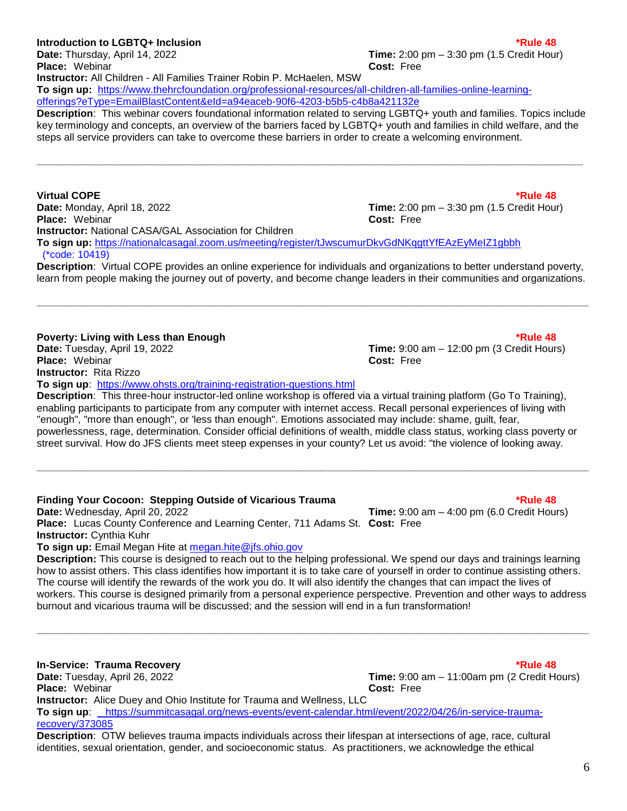### **Introduction to LGBTQ+ Inclusion \*Rule 48**

**Place:** Webinar **Cost:** Free

[offerings?eType=EmailBlastContent&eId=a94eaceb-90f6-4203-b5b5-c4b8a421132e](https://www.thehrcfoundation.org/professional-resources/all-children-all-families-online-learning-offerings?eType=EmailBlastContent&eId=a94eaceb-90f6-4203-b5b5-c4b8a421132e)

**Instructor:** All Children - All Families Trainer Robin P. McHaelen, MSW

**Virtual COPE \*Rule 48 Date:** Monday, April 18, 2022 **Time:** 2:00 pm – 3:30 pm (1.5 Credit Hour) **Place:** Webinar **Cost:** Free **Instructor:** National CASA/GAL Association for Children **To sign up:** <https://nationalcasagal.zoom.us/meeting/register/tJwscumurDkvGdNKqgttYfEAzEyMeIZ1gbbh> (\*code: 10419)

**To sign up:** [https://www.thehrcfoundation.org/professional-resources/all-children-all-families-online-learning-](https://www.thehrcfoundation.org/professional-resources/all-children-all-families-online-learning-offerings?eType=EmailBlastContent&eId=a94eaceb-90f6-4203-b5b5-c4b8a421132e)

steps all service providers can take to overcome these barriers in order to create a welcoming environment.

**Description**: Virtual COPE provides an online experience for individuals and organizations to better understand poverty, learn from people making the journey out of poverty, and become change leaders in their communities and organizations.

**\_\_\_\_\_\_\_\_\_\_\_\_\_\_\_\_\_\_\_\_\_\_\_\_\_\_\_\_\_\_\_\_\_\_\_\_\_\_\_\_\_\_\_\_\_\_\_\_\_\_\_\_\_\_\_\_\_\_\_\_\_\_\_\_\_\_\_\_\_\_\_\_\_\_\_\_\_\_\_\_\_\_\_\_\_\_\_\_\_\_\_\_\_\_\_\_\_**

**Description**: This webinar covers foundational information related to serving LGBTQ+ youth and families. Topics include key terminology and concepts, an overview of the barriers faced by LGBTQ+ youth and families in child welfare, and the

### **Poverty: Living with Less than Enough that the example of the example of the example of the example of the example of the example of the example of the example of the example of the example of the example of the example o**

**Date:** Tuesday, April 19, 2022 **Time:** 9:00 am – 12:00 pm (3 Credit Hours) **Place:** Webinar **Cost:** Free **Instructor:** Rita Rizzo **To sign up**: https://www.ohsts.org/training-registration-questions.html

**Description**: This three-hour instructor-led online workshop is offered via a virtual training platform (Go To Training), enabling participants to participate from any computer with internet access. Recall personal experiences of living with "enough", "more than enough", or 'less than enough". Emotions associated may include: shame, guilt, fear, powerlessness, rage, determination. Consider official definitions of wealth, middle class status, working class poverty or street survival. How do JFS clients meet steep expenses in your county? Let us avoid: "the violence of looking away.

**\_\_\_\_\_\_\_\_\_\_\_\_\_\_\_\_\_\_\_\_\_\_\_\_\_\_\_\_\_\_\_\_\_\_\_\_\_\_\_\_\_\_\_\_\_\_\_\_\_\_\_\_\_\_\_\_\_\_\_\_\_\_\_\_\_\_\_\_\_\_\_\_\_\_\_\_\_\_\_\_\_\_\_\_\_\_\_\_\_\_\_\_\_\_\_\_\_**

**Finding Your Cocoon: Stepping Outside of Vicarious Trauma \*Rule 48 Date:** Wednesday, April 20, 2022 **Time:** 9:00 am – 4:00 pm (6.0 Credit Hours) **Place:** Lucas County Conference and Learning Center, 711 Adams St. **Cost:** Free **Instructor:** Cynthia Kuhr **To sign up:** Email Megan Hite at [megan.hite@jfs.ohio.gov](mailto:megan.hite@jfs.ohio.gov) 

**Description:** This course is designed to reach out to the helping professional. We spend our days and trainings learning how to assist others. This class identifies how important it is to take care of yourself in order to continue assisting others. The course will identify the rewards of the work you do. It will also identify the changes that can impact the lives of workers. This course is designed primarily from a personal experience perspective. Prevention and other ways to address burnout and vicarious trauma will be discussed; and the session will end in a fun transformation!

**\_\_\_\_\_\_\_\_\_\_\_\_\_\_\_\_\_\_\_\_\_\_\_\_\_\_\_\_\_\_\_\_\_\_\_\_\_\_\_\_\_\_\_\_\_\_\_\_\_\_\_\_\_\_\_\_\_\_\_\_\_\_\_\_\_\_\_\_\_\_\_\_\_\_\_\_\_\_\_\_\_\_\_\_\_\_\_\_\_\_\_\_\_\_\_\_\_**

**In-Service: Trauma Recovery and Service 20 and Service 20 and Service 20 and Service 20 and Service 48 Date:** Tuesday, April 26, 2022 **Time:** 9:00 am – 11:00am pm (2 Credit Hours) **Place:** Webinar **Cost:** Free **Instructor:** Alice Duey and Ohio Institute for Trauma and Wellness, LLC **To sign up**: https://summitcasagal.org/news-events/event-calendar.html/event/2022/04/26/in-service-traumarecovery/373085 **Description**: OTW believes trauma impacts individuals across their lifespan at intersections of age, race, cultural

identities, sexual orientation, gender, and socioeconomic status. As practitioners, we acknowledge the ethical

**\_\_\_\_\_\_\_\_\_\_\_\_\_\_\_\_\_\_\_\_\_\_\_\_\_\_\_\_\_\_\_\_\_\_\_\_\_\_\_\_\_\_\_\_\_\_\_\_\_\_\_\_\_\_\_\_\_\_\_\_\_\_\_\_\_\_\_\_\_\_\_\_\_\_\_\_\_\_\_\_\_\_\_\_\_\_\_\_\_\_\_\_\_\_\_\_**

## **Date:** Thursday, April 14, 2022 **Time:** 2:00 pm – 3:30 pm (1.5 Credit Hour)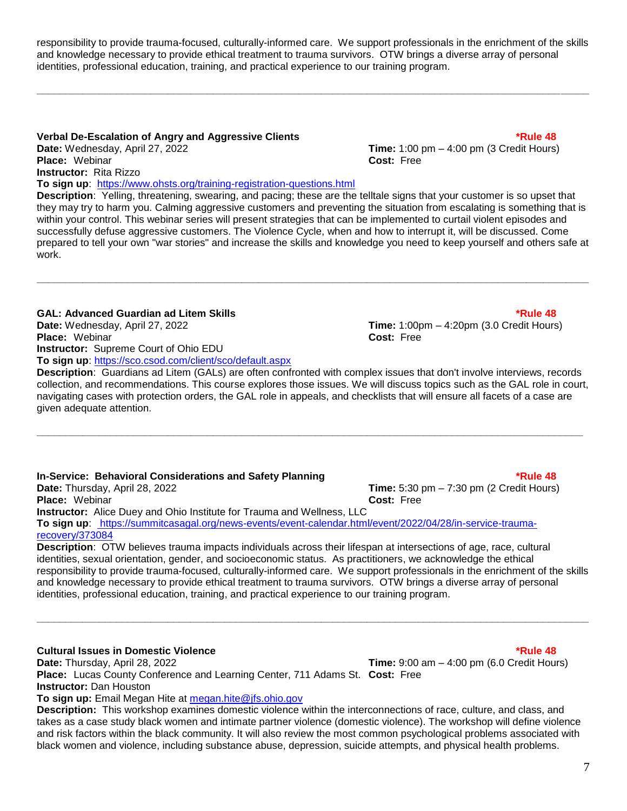responsibility to provide trauma-focused, culturally-informed care. We support professionals in the enrichment of the skills and knowledge necessary to provide ethical treatment to trauma survivors. OTW brings a diverse array of personal identities, professional education, training, and practical experience to our training program.

**\_\_\_\_\_\_\_\_\_\_\_\_\_\_\_\_\_\_\_\_\_\_\_\_\_\_\_\_\_\_\_\_\_\_\_\_\_\_\_\_\_\_\_\_\_\_\_\_\_\_\_\_\_\_\_\_\_\_\_\_\_\_\_\_\_\_\_\_\_\_\_\_\_\_\_\_\_\_\_\_\_\_\_\_\_\_\_\_\_\_\_\_\_\_\_\_\_**

### **Verbal De-Escalation of Angry and Aggressive Clients \*Rule 48**

**Place:** Webinar **Cost:** Free **Instructor:** Rita Rizzo

**To sign up**: <https://www.ohsts.org/training-registration-questions.html>

**Description**: Yelling, threatening, swearing, and pacing; these are the telltale signs that your customer is so upset that they may try to harm you. Calming aggressive customers and preventing the situation from escalating is something that is within your control. This webinar series will present strategies that can be implemented to curtail violent episodes and successfully defuse aggressive customers. The Violence Cycle, when and how to interrupt it, will be discussed. Come prepared to tell your own "war stories" and increase the skills and knowledge you need to keep yourself and others safe at work.

**\_\_\_\_\_\_\_\_\_\_\_\_\_\_\_\_\_\_\_\_\_\_\_\_\_\_\_\_\_\_\_\_\_\_\_\_\_\_\_\_\_\_\_\_\_\_\_\_\_\_\_\_\_\_\_\_\_\_\_\_\_\_\_\_\_\_\_\_\_\_\_\_\_\_\_\_\_\_\_\_\_\_\_\_\_\_\_\_\_\_\_\_\_\_\_\_\_**

### **GAL: Advanced Guardian ad Litem Skills \*Rule 48**

**Date:** Wednesday, April 27, 2022 **Time:** 1:00pm – 4:20pm (3.0 Credit Hours) **Place:** Webinar **Cost:** Free **Instructor:** Supreme Court of Ohio EDU **To sign up**: https://sco.csod.com/client/sco/default.aspx

**Description**: Guardians ad Litem (GALs) are often confronted with complex issues that don't involve interviews, records collection, and recommendations. This course explores those issues. We will discuss topics such as the GAL role in court, navigating cases with protection orders, the GAL role in appeals, and checklists that will ensure all facets of a case are given adequate attention.

**\_\_\_\_\_\_\_\_\_\_\_\_\_\_\_\_\_\_\_\_\_\_\_\_\_\_\_\_\_\_\_\_\_\_\_\_\_\_\_\_\_\_\_\_\_\_\_\_\_\_\_\_\_\_\_\_\_\_\_\_\_\_\_\_\_\_\_\_\_\_\_\_\_\_\_\_\_\_\_\_\_\_\_\_\_\_\_\_\_\_\_\_\_\_\_\_**

### **In-Service: Behavioral Considerations and Safety Planning the Constanting to the Service of the 48**

**Date:** Thursday, April 28, 2022 **Time:** 5:30 pm – 7:30 pm (2 Credit Hours) **Place:** Webinar **Cost:** Free **Instructor:** Alice Duey and Ohio Institute for Trauma and Wellness, LLC **To sign up**: https://summitcasagal.org/news-events/event-calendar.html/event/2022/04/28/in-service-traumarecovery/373084

**Description**: OTW believes trauma impacts individuals across their lifespan at intersections of age, race, cultural identities, sexual orientation, gender, and socioeconomic status. As practitioners, we acknowledge the ethical responsibility to provide trauma-focused, culturally-informed care. We support professionals in the enrichment of the skills and knowledge necessary to provide ethical treatment to trauma survivors. OTW brings a diverse array of personal identities, professional education, training, and practical experience to our training program.

**\_\_\_\_\_\_\_\_\_\_\_\_\_\_\_\_\_\_\_\_\_\_\_\_\_\_\_\_\_\_\_\_\_\_\_\_\_\_\_\_\_\_\_\_\_\_\_\_\_\_\_\_\_\_\_\_\_\_\_\_\_\_\_\_\_\_\_\_\_\_\_\_\_\_\_\_\_\_\_\_\_\_\_\_\_\_\_\_\_\_\_\_\_\_\_\_\_**

**Cultural Issues in Domestic Violence \*Rule 48**

**Date:** Thursday, April 28, 2022 **Time:** 9:00 am – 4:00 pm (6.0 Credit Hours) **Place:** Lucas County Conference and Learning Center, 711 Adams St. **Cost:** Free **Instructor:** Dan Houston

**To sign up:** Email Megan Hite at [megan.hite@jfs.ohio.gov](mailto:megan.hite@jfs.ohio.gov) 

**Description:** This workshop examines domestic violence within the interconnections of race, culture, and class, and takes as a case study black women and intimate partner violence (domestic violence). The workshop will define violence and risk factors within the black community. It will also review the most common psychological problems associated with black women and violence, including substance abuse, depression, suicide attempts, and physical health problems.

**Date:** Wednesday, April 27, 2022 **Time:** 1:00 pm – 4:00 pm (3 Credit Hours)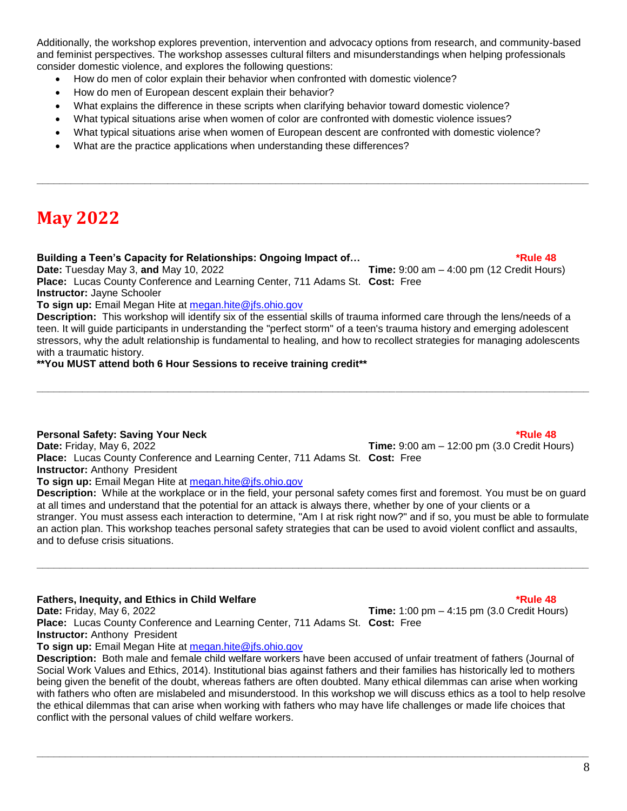Additionally, the workshop explores prevention, intervention and advocacy options from research, and community-based and feminist perspectives. The workshop assesses cultural filters and misunderstandings when helping professionals consider domestic violence, and explores the following questions:

- How do men of color explain their behavior when confronted with domestic violence?
- How do men of European descent explain their behavior?
- What explains the difference in these scripts when clarifying behavior toward domestic violence?
- What typical situations arise when women of color are confronted with domestic violence issues?
- What typical situations arise when women of European descent are confronted with domestic violence?

**\_\_\_\_\_\_\_\_\_\_\_\_\_\_\_\_\_\_\_\_\_\_\_\_\_\_\_\_\_\_\_\_\_\_\_\_\_\_\_\_\_\_\_\_\_\_\_\_\_\_\_\_\_\_\_\_\_\_\_\_\_\_\_\_\_\_\_\_\_\_\_\_\_\_\_\_\_\_\_\_\_\_\_\_\_\_\_\_\_\_\_\_\_\_\_\_\_**

What are the practice applications when understanding these differences?

## **May 2022**

### **Building a Teen's Capacity for Relationships: Ongoing Impact of… The Community of the Capacity of the 48**

**Date:** Tuesday May 3, **and** May 10, 2022 **Time:** 9:00 am – 4:00 pm (12 Credit Hours)

**Place:** Lucas County Conference and Learning Center, 711 Adams St. **Cost:** Free **Instructor:** Jayne Schooler

**To sign up:** Email Megan Hite at [megan.hite@jfs.ohio.gov](mailto:megan.hite@jfs.ohio.gov) 

**Description:** This workshop will identify six of the essential skills of trauma informed care through the lens/needs of a teen. It will guide participants in understanding the "perfect storm" of a teen's trauma history and emerging adolescent stressors, why the adult relationship is fundamental to healing, and how to recollect strategies for managing adolescents with a traumatic history.

**\_\_\_\_\_\_\_\_\_\_\_\_\_\_\_\_\_\_\_\_\_\_\_\_\_\_\_\_\_\_\_\_\_\_\_\_\_\_\_\_\_\_\_\_\_\_\_\_\_\_\_\_\_\_\_\_\_\_\_\_\_\_\_\_\_\_\_\_\_\_\_\_\_\_\_\_\_\_\_\_\_\_\_\_\_\_\_\_\_\_\_\_\_\_\_\_\_**

**\*\*You MUST attend both 6 Hour Sessions to receive training credit\*\***

### **Personal Safety: Saving Your Neck \*Rule 48**

**Date:** Friday, May 6, 2022 **Time:** 9:00 am – 12:00 pm (3.0 Credit Hours) **Place:** Lucas County Conference and Learning Center, 711 Adams St. **Cost:** Free **Instructor:** Anthony President

**To sign up: Email Megan Hite at megan.hite@ifs.ohio.gov** 

**Description:** While at the workplace or in the field, your personal safety comes first and foremost. You must be on guard at all times and understand that the potential for an attack is always there, whether by one of your clients or a stranger. You must assess each interaction to determine, "Am I at risk right now?" and if so, you must be able to formulate an action plan. This workshop teaches personal safety strategies that can be used to avoid violent conflict and assaults, and to defuse crisis situations.

**\_\_\_\_\_\_\_\_\_\_\_\_\_\_\_\_\_\_\_\_\_\_\_\_\_\_\_\_\_\_\_\_\_\_\_\_\_\_\_\_\_\_\_\_\_\_\_\_\_\_\_\_\_\_\_\_\_\_\_\_\_\_\_\_\_\_\_\_\_\_\_\_\_\_\_\_\_\_\_\_\_\_\_\_\_\_\_\_\_\_\_\_\_\_\_\_\_**

### **Fathers, Inequity, and Ethics in Child Welfare \*Rule 48**

**Date:** Friday, May 6, 2022 **Time:** 1:00 pm – 4:15 pm (3.0 Credit Hours) **Place:** Lucas County Conference and Learning Center, 711 Adams St. **Cost:** Free **Instructor:** Anthony President

**To sign up:** Email Megan Hite at [megan.hite@jfs.ohio.gov](mailto:megan.hite@jfs.ohio.gov) 

**Description:** Both male and female child welfare workers have been accused of unfair treatment of fathers (Journal of Social Work Values and Ethics, 2014). Institutional bias against fathers and their families has historically led to mothers being given the benefit of the doubt, whereas fathers are often doubted. Many ethical dilemmas can arise when working with fathers who often are mislabeled and misunderstood. In this workshop we will discuss ethics as a tool to help resolve the ethical dilemmas that can arise when working with fathers who may have life challenges or made life choices that conflict with the personal values of child welfare workers.

**\_\_\_\_\_\_\_\_\_\_\_\_\_\_\_\_\_\_\_\_\_\_\_\_\_\_\_\_\_\_\_\_\_\_\_\_\_\_\_\_\_\_\_\_\_\_\_\_\_\_\_\_\_\_\_\_\_\_\_\_\_\_\_\_\_\_\_\_\_\_\_\_\_\_\_\_\_\_\_\_\_\_\_\_\_\_\_\_\_\_\_\_\_\_\_\_\_**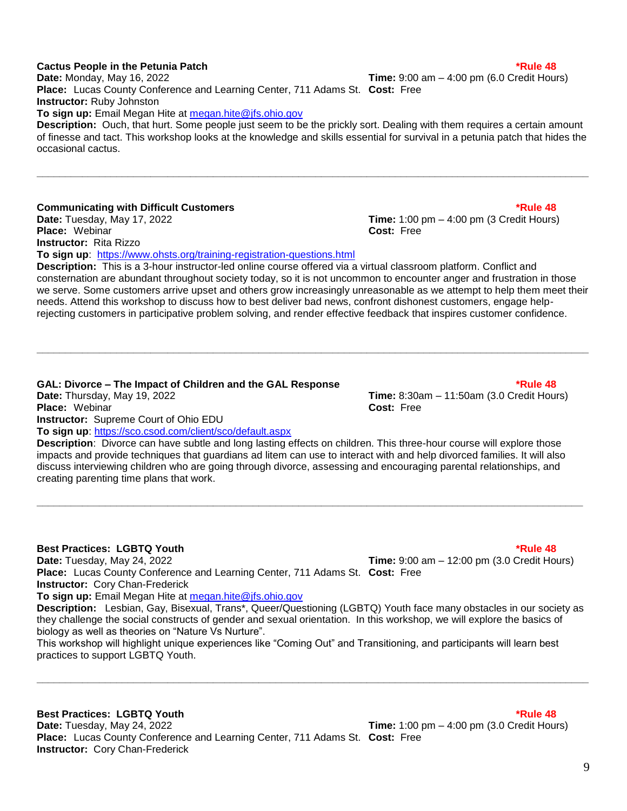### **Cactus People in the Petunia Patch \*Rule 48**

**Date:** Monday, May 16, 2022 **Time:** 9:00 am – 4:00 pm (6.0 Credit Hours) **Place:** Lucas County Conference and Learning Center, 711 Adams St. **Cost:** Free **Instructor:** Ruby Johnston **To sign up:** Email Megan Hite at [megan.hite@jfs.ohio.gov](mailto:megan.hite@jfs.ohio.gov) 

**Description:** Ouch, that hurt. Some people just seem to be the prickly sort. Dealing with them requires a certain amount of finesse and tact. This workshop looks at the knowledge and skills essential for survival in a petunia patch that hides the occasional cactus.

**\_\_\_\_\_\_\_\_\_\_\_\_\_\_\_\_\_\_\_\_\_\_\_\_\_\_\_\_\_\_\_\_\_\_\_\_\_\_\_\_\_\_\_\_\_\_\_\_\_\_\_\_\_\_\_\_\_\_\_\_\_\_\_\_\_\_\_\_\_\_\_\_\_\_\_\_\_\_\_\_\_\_\_\_\_\_\_\_\_\_\_\_\_\_\_\_\_**

### **Communicating with Difficult Customers \*Rule 48**

**Date:** Tuesday, May 17, 2022 **Time:** 1:00 pm – 4:00 pm (3 Credit Hours) **Place:** Webinar **Cost:** Free **Instructor:** Rita Rizzo

**To sign up**: <https://www.ohsts.org/training-registration-questions.html>

**Description:** This is a 3-hour instructor-led online course offered via a virtual classroom platform. Conflict and consternation are abundant throughout society today, so it is not uncommon to encounter anger and frustration in those we serve. Some customers arrive upset and others grow increasingly unreasonable as we attempt to help them meet their needs. Attend this workshop to discuss how to best deliver bad news, confront dishonest customers, engage helprejecting customers in participative problem solving, and render effective feedback that inspires customer confidence.

### **GAL: Divorce – The Impact of Children and the GAL Response \*Rule 48**

**Date:** Thursday, May 19, 2022 **Time:** 8:30am – 11:50am (3.0 Credit Hours) **Place:** Webinar **Cost:** Free **Instructor:** Supreme Court of Ohio EDU **To sign up**: https://sco.csod.com/client/sco/default.aspx

**Description**: Divorce can have subtle and long lasting effects on children. This three-hour course will explore those impacts and provide techniques that guardians ad litem can use to interact with and help divorced families. It will also discuss interviewing children who are going through divorce, assessing and encouraging parental relationships, and creating parenting time plans that work.

**\_\_\_\_\_\_\_\_\_\_\_\_\_\_\_\_\_\_\_\_\_\_\_\_\_\_\_\_\_\_\_\_\_\_\_\_\_\_\_\_\_\_\_\_\_\_\_\_\_\_\_\_\_\_\_\_\_\_\_\_\_\_\_\_\_\_\_\_\_\_\_\_\_\_\_\_\_\_\_\_\_\_\_\_\_\_\_\_\_\_\_\_\_\_\_\_**

### **Best Practices: LGBTQ Youth \*Rule 48**

**Date:** Tuesday, May 24, 2022 **Time:** 9:00 am – 12:00 pm (3.0 Credit Hours)

**Place:** Lucas County Conference and Learning Center, 711 Adams St. **Cost:** Free **Instructor:** Cory Chan-Frederick

**To sign up:** Email Megan Hite at [megan.hite@jfs.ohio.gov](mailto:megan.hite@jfs.ohio.gov) 

**Description:** Lesbian, Gay, Bisexual, Trans\*, Queer/Questioning (LGBTQ) Youth face many obstacles in our society as they challenge the social constructs of gender and sexual orientation. In this workshop, we will explore the basics of biology as well as theories on "Nature Vs Nurture".

**\_\_\_\_\_\_\_\_\_\_\_\_\_\_\_\_\_\_\_\_\_\_\_\_\_\_\_\_\_\_\_\_\_\_\_\_\_\_\_\_\_\_\_\_\_\_\_\_\_\_\_\_\_\_\_\_\_\_\_\_\_\_\_\_\_\_\_\_\_\_\_\_\_\_\_\_\_\_\_\_\_\_\_\_\_\_\_\_\_\_\_\_\_\_\_\_\_**

This workshop will highlight unique experiences like "Coming Out" and Transitioning, and participants will learn best practices to support LGBTQ Youth.

### **Best Practices: LGBTQ Youth \*Rule 48**

**Date:** Tuesday, May 24, 2022 **Time:** 1:00 pm – 4:00 pm (3.0 Credit Hours) **Place:** Lucas County Conference and Learning Center, 711 Adams St. **Cost:** Free **Instructor:** Cory Chan-Frederick

### 9

### **\_\_\_\_\_\_\_\_\_\_\_\_\_\_\_\_\_\_\_\_\_\_\_\_\_\_\_\_\_\_\_\_\_\_\_\_\_\_\_\_\_\_\_\_\_\_\_\_\_\_\_\_\_\_\_\_\_\_\_\_\_\_\_\_\_\_\_\_\_\_\_\_\_\_\_\_\_\_\_\_\_\_\_\_\_\_\_\_\_\_\_\_\_\_\_\_\_**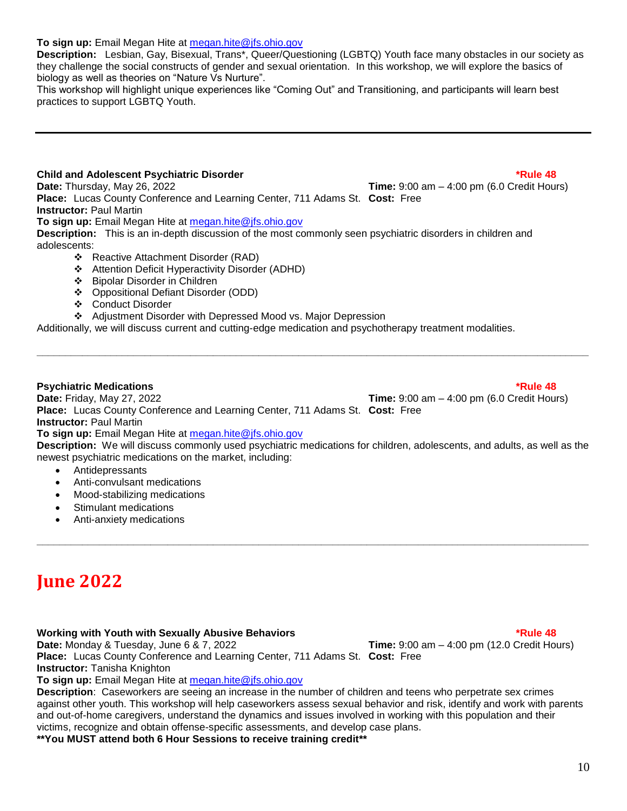### **To sign up:** Email Megan Hite at [megan.hite@jfs.ohio.gov](mailto:megan.hite@jfs.ohio.gov)

**Description:** Lesbian, Gay, Bisexual, Trans\*, Queer/Questioning (LGBTQ) Youth face many obstacles in our society as they challenge the social constructs of gender and sexual orientation. In this workshop, we will explore the basics of biology as well as theories on "Nature Vs Nurture".

This workshop will highlight unique experiences like "Coming Out" and Transitioning, and participants will learn best practices to support LGBTQ Youth.

### **Child and Adolescent Psychiatric Disorder \*Rule 48**

**Date:** Thursday, May 26, 2022 **Time:** 9:00 am – 4:00 pm (6.0 Credit Hours) **Place:** Lucas County Conference and Learning Center, 711 Adams St. **Cost:** Free

**Instructor:** Paul Martin

**To sign up:** Email Megan Hite at [megan.hite@jfs.ohio.gov](mailto:megan.hite@jfs.ohio.gov) 

**Description:** This is an in-depth discussion of the most commonly seen psychiatric disorders in children and adolescents:

- ❖ Reactive Attachment Disorder (RAD)
- Attention Deficit Hyperactivity Disorder (ADHD)
- Bipolar Disorder in Children
- ❖ Oppositional Defiant Disorder (ODD)
- Conduct Disorder

Adjustment Disorder with Depressed Mood vs. Major Depression

Additionally, we will discuss current and cutting-edge medication and psychotherapy treatment modalities.

### **Psychiatric Medications \*Rule 48**

**Date:** Friday, May 27, 2022 **Time:** 9:00 am – 4:00 pm (6.0 Credit Hours) **Place:** Lucas County Conference and Learning Center, 711 Adams St. **Cost:** Free

**Instructor:** Paul Martin

**To sign up:** Email Megan Hite at [megan.hite@jfs.ohio.gov](mailto:megan.hite@jfs.ohio.gov) 

**Description:** We will discuss commonly used psychiatric medications for children, adolescents, and adults, as well as the newest psychiatric medications on the market, including:

**\_\_\_\_\_\_\_\_\_\_\_\_\_\_\_\_\_\_\_\_\_\_\_\_\_\_\_\_\_\_\_\_\_\_\_\_\_\_\_\_\_\_\_\_\_\_\_\_\_\_\_\_\_\_\_\_\_\_\_\_\_\_\_\_\_\_\_\_\_\_\_\_\_\_\_\_\_\_\_\_\_\_\_\_\_\_\_\_\_\_\_\_\_\_\_\_\_**

**\_\_\_\_\_\_\_\_\_\_\_\_\_\_\_\_\_\_\_\_\_\_\_\_\_\_\_\_\_\_\_\_\_\_\_\_\_\_\_\_\_\_\_\_\_\_\_\_\_\_\_\_\_\_\_\_\_\_\_\_\_\_\_\_\_\_\_\_\_\_\_\_\_\_\_\_\_\_\_\_\_\_\_\_\_\_\_\_\_\_\_\_\_\_\_\_\_**

- Antidepressants
- Anti-convulsant medications
- Mood-stabilizing medications
- Stimulant medications
- Anti-anxiety medications

## **June 2022**

### **Working with Youth with Sexually Abusive Behaviors \*Rule 48**

**Date:** Monday & Tuesday, June 6 & 7, 2022 **Time:** 9:00 am – 4:00 pm (12.0 Credit Hours)

**Place:** Lucas County Conference and Learning Center, 711 Adams St. **Cost:** Free **Instructor:** Tanisha Knighton

**To sign up:** Email Megan Hite at [megan.hite@jfs.ohio.gov](mailto:megan.hite@jfs.ohio.gov) 

**Description**: Caseworkers are seeing an increase in the number of children and teens who perpetrate sex crimes against other youth. This workshop will help caseworkers assess sexual behavior and risk, identify and work with parents and out-of-home caregivers, understand the dynamics and issues involved in working with this population and their victims, recognize and obtain offense-specific assessments, and develop case plans.

### **\*\*You MUST attend both 6 Hour Sessions to receive training credit\*\***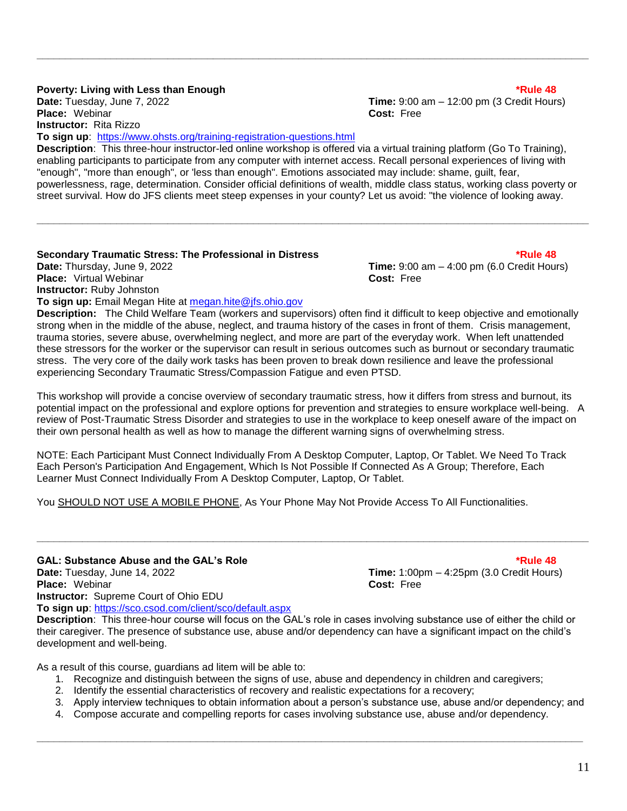### **Poverty: Living with Less than Enough \*Rule 48** and **the enough filter of the enough filter and the enough filter and the enough filter and the enough filter and the enough filter and the enough filter and the enough filt**

**Place:** Webinar **Cost:** Free **Instructor:** Rita Rizzo

**Date:** Tuesday, June 7, 2022 **Time:** 9:00 am – 12:00 pm (3 Credit Hours)

**To sign up**: https://www.ohsts.org/training-registration-questions.html **Description**: This three-hour instructor-led online workshop is offered via a virtual training platform (Go To Training), enabling participants to participate from any computer with internet access. Recall personal experiences of living with "enough", "more than enough", or 'less than enough". Emotions associated may include: shame, guilt, fear, powerlessness, rage, determination. Consider official definitions of wealth, middle class status, working class poverty or street survival. How do JFS clients meet steep expenses in your county? Let us avoid: "the violence of looking away.

**\_\_\_\_\_\_\_\_\_\_\_\_\_\_\_\_\_\_\_\_\_\_\_\_\_\_\_\_\_\_\_\_\_\_\_\_\_\_\_\_\_\_\_\_\_\_\_\_\_\_\_\_\_\_\_\_\_\_\_\_\_\_\_\_\_\_\_\_\_\_\_\_\_\_\_\_\_\_\_\_\_\_\_\_\_\_\_\_\_\_\_\_\_\_\_\_\_**

**\_\_\_\_\_\_\_\_\_\_\_\_\_\_\_\_\_\_\_\_\_\_\_\_\_\_\_\_\_\_\_\_\_\_\_\_\_\_\_\_\_\_\_\_\_\_\_\_\_\_\_\_\_\_\_\_\_\_\_\_\_\_\_\_\_\_\_\_\_\_\_\_\_\_\_\_\_\_\_\_\_\_\_\_\_\_\_\_\_\_\_\_\_\_\_\_\_**

### **Secondary Traumatic Stress: The Professional in Distress \*Rule 48**

**Date:** Thursday, June 9, 2022 **Time:** 9:00 am – 4:00 pm (6.0 Credit Hours) **Place:** Virtual Webinar **Cost:** Free **Instructor:** Ruby Johnston

**To sign up:** Email Megan Hite at [megan.hite@jfs.ohio.gov](mailto:megan.hite@jfs.ohio.gov) 

**Description:** The Child Welfare Team (workers and supervisors) often find it difficult to keep objective and emotionally strong when in the middle of the abuse, neglect, and trauma history of the cases in front of them. Crisis management, trauma stories, severe abuse, overwhelming neglect, and more are part of the everyday work. When left unattended these stressors for the worker or the supervisor can result in serious outcomes such as burnout or secondary traumatic stress. The very core of the daily work tasks has been proven to break down resilience and leave the professional experiencing Secondary Traumatic Stress/Compassion Fatigue and even PTSD.

This workshop will provide a concise overview of secondary traumatic stress, how it differs from stress and burnout, its potential impact on the professional and explore options for prevention and strategies to ensure workplace well-being. A review of Post-Traumatic Stress Disorder and strategies to use in the workplace to keep oneself aware of the impact on their own personal health as well as how to manage the different warning signs of overwhelming stress.

NOTE: Each Participant Must Connect Individually From A Desktop Computer, Laptop, Or Tablet. We Need To Track Each Person's Participation And Engagement, Which Is Not Possible If Connected As A Group; Therefore, Each Learner Must Connect Individually From A Desktop Computer, Laptop, Or Tablet.

**\_\_\_\_\_\_\_\_\_\_\_\_\_\_\_\_\_\_\_\_\_\_\_\_\_\_\_\_\_\_\_\_\_\_\_\_\_\_\_\_\_\_\_\_\_\_\_\_\_\_\_\_\_\_\_\_\_\_\_\_\_\_\_\_\_\_\_\_\_\_\_\_\_\_\_\_\_\_\_\_\_\_\_\_\_\_\_\_\_\_\_\_\_\_\_\_\_**

You SHOULD NOT USE A MOBILE PHONE, As Your Phone May Not Provide Access To All Functionalities.

### **GAL: Substance Abuse and the GAL's Role \*Rule 48**

**Date:** Tuesday, June 14, 2022 **Time:** 1:00pm – 4:25pm (3.0 Credit Hours) **Place:** Webinar **Cost:** Free **Instructor:** Supreme Court of Ohio EDU **To sign up**: https://sco.csod.com/client/sco/default.aspx

**Description**: This three-hour course will focus on the GAL's role in cases involving substance use of either the child or their caregiver. The presence of substance use, abuse and/or dependency can have a significant impact on the child's development and well-being.

As a result of this course, guardians ad litem will be able to:

- 1. Recognize and distinguish between the signs of use, abuse and dependency in children and caregivers;
- 2. Identify the essential characteristics of recovery and realistic expectations for a recovery;
- 3. Apply interview techniques to obtain information about a person's substance use, abuse and/or dependency; and
- 4. Compose accurate and compelling reports for cases involving substance use, abuse and/or dependency.

**\_\_\_\_\_\_\_\_\_\_\_\_\_\_\_\_\_\_\_\_\_\_\_\_\_\_\_\_\_\_\_\_\_\_\_\_\_\_\_\_\_\_\_\_\_\_\_\_\_\_\_\_\_\_\_\_\_\_\_\_\_\_\_\_\_\_\_\_\_\_\_\_\_\_\_\_\_\_\_\_\_\_\_\_\_\_\_\_\_\_\_\_\_\_\_\_**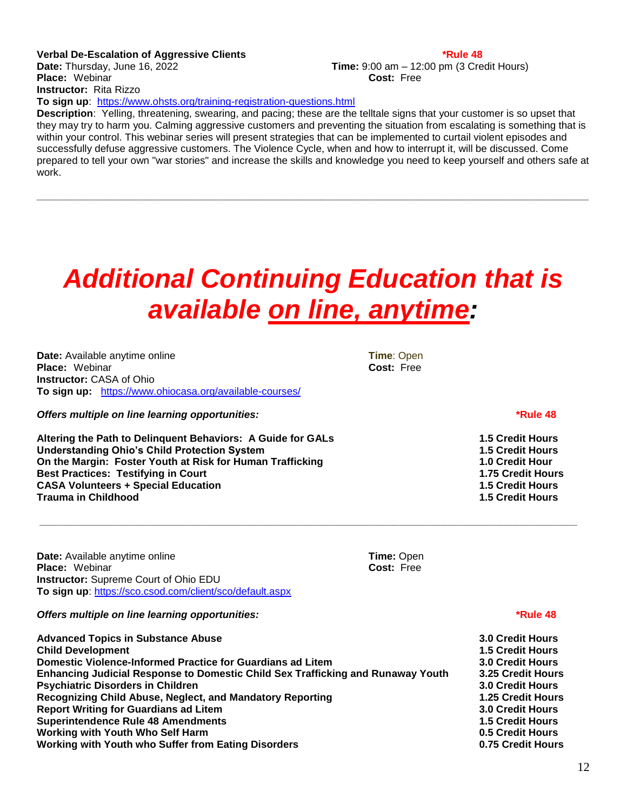### **Verbal De-Escalation of Aggressive Clients \*Rule 48 Date:** Thursday, June 16, 2022 **Time:** 9:00 am – 12:00 pm (3 Credit Hours) **Place:** Webinar **Cost:** Free **Instructor:** Rita Rizzo

To sign up: <https://www.ohsts.org/training-registration-questions.html>

**Description**: Yelling, threatening, swearing, and pacing; these are the telltale signs that your customer is so upset that they may try to harm you. Calming aggressive customers and preventing the situation from escalating is something that is within your control. This webinar series will present strategies that can be implemented to curtail violent episodes and successfully defuse aggressive customers. The Violence Cycle, when and how to interrupt it, will be discussed. Come prepared to tell your own "war stories" and increase the skills and knowledge you need to keep yourself and others safe at work.

**\_\_\_\_\_\_\_\_\_\_\_\_\_\_\_\_\_\_\_\_\_\_\_\_\_\_\_\_\_\_\_\_\_\_\_\_\_\_\_\_\_\_\_\_\_\_\_\_\_\_\_\_\_\_\_\_\_\_\_\_\_\_\_\_\_\_\_\_\_\_\_\_\_\_\_\_\_\_\_\_\_\_\_\_\_\_\_\_\_\_\_\_\_\_\_\_\_**

# *Additional Continuing Education that is available on line, anytime:*

**\_\_\_\_\_\_\_\_\_\_\_\_\_\_\_\_\_\_\_\_\_\_\_\_\_\_\_\_\_\_\_\_\_\_\_\_\_\_\_\_\_\_\_\_\_\_\_\_\_\_\_\_\_\_\_\_\_\_\_\_\_\_\_\_\_\_\_\_\_\_\_\_\_\_\_\_\_\_\_\_\_\_\_\_\_\_\_\_\_\_\_\_\_\_\_\_\_\_\_\_\_\_\_\_\_**

**Date:** Available anytime online **Time**: Open **Time**: Open **Time**: Open **Place:** Webinar **Place: Webinar Instructor:** CASA of Ohio **To sign up:** https://www.ohiocasa.org/available-courses/

*Offers multiple on line learning opportunities:***<b>***Company Rule 48* 

**Altering the Path to Delinquent Behaviors: A Guide for GALs 1.5 Credit Hours Understanding Ohio's Child Protection System 1.5 Credit Hours On the Margin: Foster Youth at Risk for Human Trafficking Best Practices: Testifying in Court 1.75 Credit Hours CASA Volunteers + Special Education 1.5 Credit Hours Trauma in Childhood 1.5 Credit Hours** 

**Date:** Available anytime online **Time:** Open **Place:** Webinar **Cost:** Free **Instructor:** Supreme Court of Ohio EDU **To sign up**: https://sco.csod.com/client/sco/default.aspx

*Offers multiple on line learning opportunities:***<b>***Company AB AB AB AB***<b>***AB AB AB AB*

**Advanced Topics in Substance Abuse 3.0 Credit Hours Child Development 1.5 Credit Hours Domestic Violence-Informed Practice for Guardians ad Litem 3.0 Credit Hours Enhancing Judicial Response to Domestic Child Sex Trafficking and Runaway Youth 3.25 Credit Hours Psychiatric Disorders in Children 3.0 Credit Hours Recognizing Child Abuse, Neglect, and Mandatory Reporting 1.25 Credit Hours Report Writing for Guardians ad Litem 3.0 Credit Hours Superintendence Rule 48 Amendments Working with Youth Who Self Harm 0.5 Credit Hours Working with Youth who Suffer from Eating Disorders 0.75 Credit Hours**